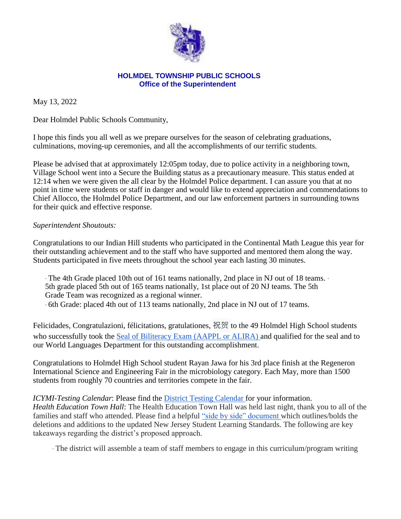

## **HOLMDEL TOWNSHIP PUBLIC SCHOOLS Office of the Superintendent**

May 13, 2022

Dear Holmdel Public Schools Community,

I hope this finds you all well as we prepare ourselves for the season of celebrating graduations, culminations, moving-up ceremonies, and all the accomplishments of our terrific students.

Please be advised that at approximately 12:05pm today, due to police activity in a neighboring town, Village School went into a Secure the Building status as a precautionary measure. This status ended at 12:14 when we were given the all clear by the Holmdel Police department. I can assure you that at no point in time were students or staff in danger and would like to extend appreciation and commendations to Chief Allocco, the Holmdel Police Department, and our law enforcement partners in surrounding towns for their quick and effective response.

## *Superintendent Shoutouts:*

Congratulations to our Indian Hill students who participated in the Continental Math League this year for their outstanding achievement and to the staff who have supported and mentored them along the way. Students participated in five meets throughout the school year each lasting 30 minutes.

∙ The 4th Grade placed 10th out of 161 teams nationally, 2nd place in NJ out of 18 teams. ∙ 5th grade placed 5th out of 165 teams nationally, 1st place out of 20 NJ teams. The 5th Grade Team was recognized as a regional winner. ∙ 6th Grade: placed 4th out of 113 teams nationally, 2nd place in NJ out of 17 teams.

Felicidades, Congratulazioni, félicitations, gratulationes, 祝贺 to the 49 Holmdel High School students who successfully took the Seal of Biliteracy Exam (AAPPL or ALIRA) and qualified for the seal and to our World Languages Department for this outstanding accomplishment.

Congratulations to Holmdel High School student Rayan Jawa for his 3rd place finish at the Regeneron International Science and Engineering Fair in the microbiology category. Each May, more than 1500 students from roughly 70 countries and territories compete in the fair.

*ICYMI*-*Testing Calendar*: Please find the District Testing Calendar for your information. *Health Education Town Hall*: The Health Education Town Hall was held last night, thank you to all of the families and staff who attended. Please find a helpful "side by side" document which outlines/bolds the deletions and additions to the updated New Jersey Student Learning Standards. The following are key takeaways regarding the district's proposed approach.

∙ The district will assemble a team of staff members to engage in this curriculum/program writing